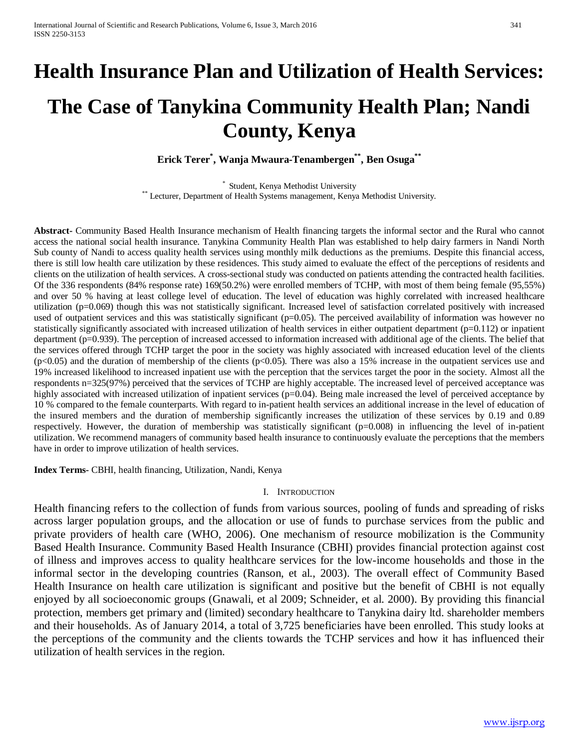# **Health Insurance Plan and Utilization of Health Services:**

# **The Case of Tanykina Community Health Plan; Nandi County, Kenya**

**Erick Terer\* , Wanja Mwaura-Tenambergen\*\*, Ben Osuga\*\***

\* Student, Kenya Methodist University \* 1997 and Student, Kenya Methodist University.<br>\*\* Lecturer, Department of Health Systems management, Kenya Methodist University.

**Abstract-** Community Based Health Insurance mechanism of Health financing targets the informal sector and the Rural who cannot access the national social health insurance. Tanykina Community Health Plan was established to help dairy farmers in Nandi North Sub county of Nandi to access quality health services using monthly milk deductions as the premiums. Despite this financial access, there is still low health care utilization by these residences. This study aimed to evaluate the effect of the perceptions of residents and clients on the utilization of health services. A cross-sectional study was conducted on patients attending the contracted health facilities. Of the 336 respondents (84% response rate) 169(50.2%) were enrolled members of TCHP, with most of them being female (95,55%) and over 50 % having at least college level of education. The level of education was highly correlated with increased healthcare utilization (p=0.069) though this was not statistically significant. Increased level of satisfaction correlated positively with increased used of outpatient services and this was statistically significant (p=0.05). The perceived availability of information was however no statistically significantly associated with increased utilization of health services in either outpatient department  $(p=0.112)$  or inpatient department (p=0.939). The perception of increased accessed to information increased with additional age of the clients. The belief that the services offered through TCHP target the poor in the society was highly associated with increased education level of the clients  $(p<0.05)$  and the duration of membership of the clients  $(p<0.05)$ . There was also a 15% increase in the outpatient services use and 19% increased likelihood to increased inpatient use with the perception that the services target the poor in the society. Almost all the respondents n=325(97%) perceived that the services of TCHP are highly acceptable. The increased level of perceived acceptance was highly associated with increased utilization of inpatient services (p=0.04). Being male increased the level of perceived acceptance by 10 % compared to the female counterparts. With regard to in-patient health services an additional increase in the level of education of the insured members and the duration of membership significantly increases the utilization of these services by 0.19 and 0.89 respectively. However, the duration of membership was statistically significant (p=0.008) in influencing the level of in-patient utilization. We recommend managers of community based health insurance to continuously evaluate the perceptions that the members have in order to improve utilization of health services.

**Index Terms-** CBHI, health financing, Utilization, Nandi, Kenya

#### I. INTRODUCTION

Health financing refers to the collection of funds from various sources, pooling of funds and spreading of risks across larger population groups, and the allocation or use of funds to purchase services from the public and private providers of health care (WHO, 2006). One mechanism of resource mobilization is the Community Based Health Insurance. Community Based Health Insurance (CBHI) provides financial protection against cost of illness and improves access to quality healthcare services for the low-income households and those in the informal sector in the developing countries (Ranson, et al., 2003). The overall effect of Community Based Health Insurance on health care utilization is significant and positive but the benefit of CBHI is not equally enjoyed by all socioeconomic groups (Gnawali, et al 2009; Schneider, et al. 2000). By providing this financial protection, members get primary and (limited) secondary healthcare to Tanykina dairy ltd. shareholder members and their households. As of January 2014, a total of 3,725 beneficiaries have been enrolled. This study looks at the perceptions of the community and the clients towards the TCHP services and how it has influenced their utilization of health services in the region.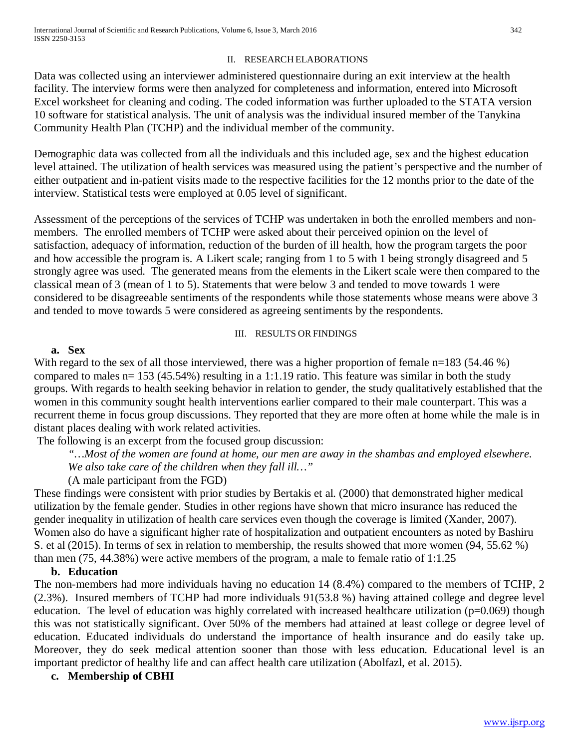## II. RESEARCH ELABORATIONS

Data was collected using an interviewer administered questionnaire during an exit interview at the health facility. The interview forms were then analyzed for completeness and information, entered into Microsoft Excel worksheet for cleaning and coding. The coded information was further uploaded to the STATA version 10 software for statistical analysis. The unit of analysis was the individual insured member of the Tanykina Community Health Plan (TCHP) and the individual member of the community.

Demographic data was collected from all the individuals and this included age, sex and the highest education level attained. The utilization of health services was measured using the patient's perspective and the number of either outpatient and in-patient visits made to the respective facilities for the 12 months prior to the date of the interview. Statistical tests were employed at 0.05 level of significant.

Assessment of the perceptions of the services of TCHP was undertaken in both the enrolled members and nonmembers. The enrolled members of TCHP were asked about their perceived opinion on the level of satisfaction, adequacy of information, reduction of the burden of ill health, how the program targets the poor and how accessible the program is. A Likert scale; ranging from 1 to 5 with 1 being strongly disagreed and 5 strongly agree was used. The generated means from the elements in the Likert scale were then compared to the classical mean of 3 (mean of 1 to 5). Statements that were below 3 and tended to move towards 1 were considered to be disagreeable sentiments of the respondents while those statements whose means were above 3 and tended to move towards 5 were considered as agreeing sentiments by the respondents.

### III. RESULTS OR FINDINGS

#### **a. Sex**

With regard to the sex of all those interviewed, there was a higher proportion of female n=183 (54.46 %) compared to males n= 153 (45.54%) resulting in a 1:1.19 ratio. This feature was similar in both the study groups. With regards to health seeking behavior in relation to gender, the study qualitatively established that the women in this community sought health interventions earlier compared to their male counterpart. This was a recurrent theme in focus group discussions. They reported that they are more often at home while the male is in distant places dealing with work related activities.

The following is an excerpt from the focused group discussion:

*"…Most of the women are found at home, our men are away in the shambas and employed elsewhere.* 

*We also take care of the children when they fall ill…"*

(A male participant from the FGD)

These findings were consistent with prior studies by Bertakis et al. (2000) that demonstrated higher medical utilization by the female gender. Studies in other regions have shown that micro insurance has reduced the gender inequality in utilization of health care services even though the coverage is limited (Xander, 2007). Women also do have a significant higher rate of hospitalization and outpatient encounters as noted by Bashiru S. et al (2015). In terms of sex in relation to membership, the results showed that more women (94, 55.62 %) than men (75, 44.38%) were active members of the program, a male to female ratio of 1:1.25

### **b. Education**

The non-members had more individuals having no education 14 (8.4%) compared to the members of TCHP, 2 (2.3%). Insured members of TCHP had more individuals 91(53.8 %) having attained college and degree level education. The level of education was highly correlated with increased healthcare utilization (p=0.069) though this was not statistically significant. Over 50% of the members had attained at least college or degree level of education. Educated individuals do understand the importance of health insurance and do easily take up. Moreover, they do seek medical attention sooner than those with less education. Educational level is an important predictor of healthy life and can affect health care utilization (Abolfazl, et al. 2015).

### **c. Membership of CBHI**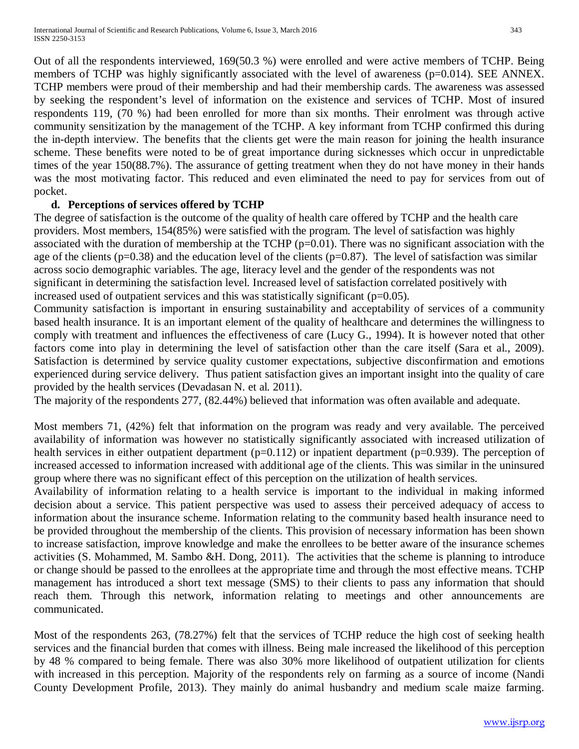Out of all the respondents interviewed, 169(50.3 %) were enrolled and were active members of TCHP. Being members of TCHP was highly significantly associated with the level of awareness (p=0.014). SEE ANNEX. TCHP members were proud of their membership and had their membership cards. The awareness was assessed by seeking the respondent's level of information on the existence and services of TCHP. Most of insured respondents 119, (70 %) had been enrolled for more than six months. Their enrolment was through active community sensitization by the management of the TCHP. A key informant from TCHP confirmed this during the in-depth interview. The benefits that the clients get were the main reason for joining the health insurance scheme. These benefits were noted to be of great importance during sicknesses which occur in unpredictable times of the year 150(88.7%). The assurance of getting treatment when they do not have money in their hands was the most motivating factor. This reduced and even eliminated the need to pay for services from out of pocket.

## **d. Perceptions of services offered by TCHP**

The degree of satisfaction is the outcome of the quality of health care offered by TCHP and the health care providers. Most members, 154(85%) were satisfied with the program. The level of satisfaction was highly associated with the duration of membership at the TCHP (p=0.01). There was no significant association with the age of the clients ( $p=0.38$ ) and the education level of the clients ( $p=0.87$ ). The level of satisfaction was similar across socio demographic variables. The age, literacy level and the gender of the respondents was not significant in determining the satisfaction level. Increased level of satisfaction correlated positively with increased used of outpatient services and this was statistically significant ( $p=0.05$ ).

Community satisfaction is important in ensuring sustainability and acceptability of services of a community based health insurance. It is an important element of the quality of healthcare and determines the willingness to comply with treatment and influences the effectiveness of care (Lucy G., 1994). It is however noted that other factors come into play in determining the level of satisfaction other than the care itself (Sara et al., 2009). Satisfaction is determined by service quality customer expectations, subjective disconfirmation and emotions experienced during service delivery. Thus patient satisfaction gives an important insight into the quality of care provided by the health services (Devadasan N. et al. 2011).

The majority of the respondents 277, (82.44%) believed that information was often available and adequate.

Most members 71, (42%) felt that information on the program was ready and very available*.* The perceived availability of information was however no statistically significantly associated with increased utilization of health services in either outpatient department (p=0.112) or inpatient department (p=0.939). The perception of increased accessed to information increased with additional age of the clients. This was similar in the uninsured group where there was no significant effect of this perception on the utilization of health services.

Availability of information relating to a health service is important to the individual in making informed decision about a service. This patient perspective was used to assess their perceived adequacy of access to information about the insurance scheme. Information relating to the community based health insurance need to be provided throughout the membership of the clients. This provision of necessary information has been shown to increase satisfaction, improve knowledge and make the enrollees to be better aware of the insurance schemes activities (S. Mohammed, M. Sambo &H. Dong, 2011). The activities that the scheme is planning to introduce or change should be passed to the enrollees at the appropriate time and through the most effective means. TCHP management has introduced a short text message (SMS) to their clients to pass any information that should reach them. Through this network, information relating to meetings and other announcements are communicated.

Most of the respondents 263, (78.27%) felt that the services of TCHP reduce the high cost of seeking health services and the financial burden that comes with illness. Being male increased the likelihood of this perception by 48 % compared to being female. There was also 30% more likelihood of outpatient utilization for clients with increased in this perception. Majority of the respondents rely on farming as a source of income (Nandi County Development Profile, 2013). They mainly do animal husbandry and medium scale maize farming.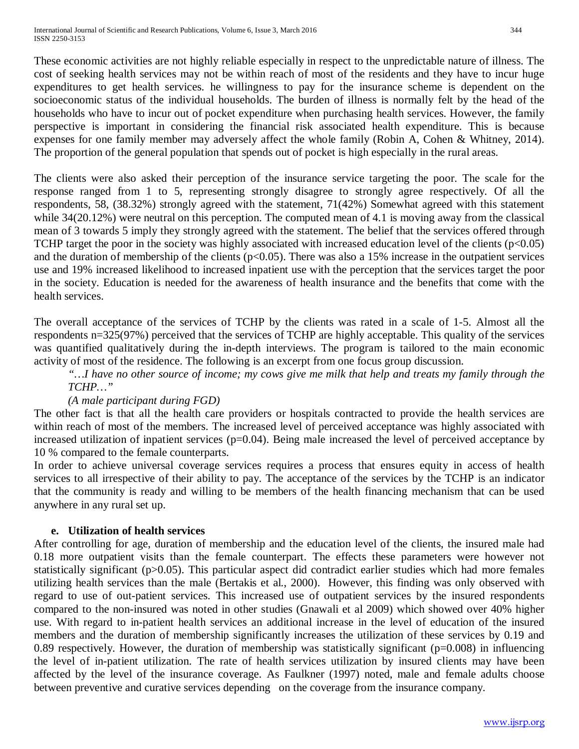These economic activities are not highly reliable especially in respect to the unpredictable nature of illness. The cost of seeking health services may not be within reach of most of the residents and they have to incur huge expenditures to get health services. he willingness to pay for the insurance scheme is dependent on the socioeconomic status of the individual households. The burden of illness is normally felt by the head of the households who have to incur out of pocket expenditure when purchasing health services. However, the family perspective is important in considering the financial risk associated health expenditure. This is because expenses for one family member may adversely affect the whole family (Robin A, Cohen & Whitney, 2014). The proportion of the general population that spends out of pocket is high especially in the rural areas.

The clients were also asked their perception of the insurance service targeting the poor. The scale for the response ranged from 1 to 5, representing strongly disagree to strongly agree respectively. Of all the respondents, 58, (38.32%) strongly agreed with the statement, 71(42%) Somewhat agreed with this statement while 34(20.12%) were neutral on this perception. The computed mean of 4.1 is moving away from the classical mean of 3 towards 5 imply they strongly agreed with the statement. The belief that the services offered through TCHP target the poor in the society was highly associated with increased education level of the clients  $(p<0.05)$ and the duration of membership of the clients ( $p<0.05$ ). There was also a 15% increase in the outpatient services use and 19% increased likelihood to increased inpatient use with the perception that the services target the poor in the society. Education is needed for the awareness of health insurance and the benefits that come with the health services.

The overall acceptance of the services of TCHP by the clients was rated in a scale of 1-5. Almost all the respondents n=325(97%) perceived that the services of TCHP are highly acceptable. This quality of the services was quantified qualitatively during the in-depth interviews. The program is tailored to the main economic activity of most of the residence. The following is an excerpt from one focus group discussion.

*"…I have no other source of income; my cows give me milk that help and treats my family through the TCHP…"*

## *(A male participant during FGD)*

The other fact is that all the health care providers or hospitals contracted to provide the health services are within reach of most of the members. The increased level of perceived acceptance was highly associated with increased utilization of inpatient services (p=0.04). Being male increased the level of perceived acceptance by 10 % compared to the female counterparts.

In order to achieve universal coverage services requires a process that ensures equity in access of health services to all irrespective of their ability to pay. The acceptance of the services by the TCHP is an indicator that the community is ready and willing to be members of the health financing mechanism that can be used anywhere in any rural set up.

## **e. Utilization of health services**

After controlling for age, duration of membership and the education level of the clients, the insured male had 0.18 more outpatient visits than the female counterpart. The effects these parameters were however not statistically significant (p>0.05). This particular aspect did contradict earlier studies which had more females utilizing health services than the male (Bertakis et al., 2000). However, this finding was only observed with regard to use of out-patient services. This increased use of outpatient services by the insured respondents compared to the non-insured was noted in other studies (Gnawali et al 2009) which showed over 40% higher use. With regard to in-patient health services an additional increase in the level of education of the insured members and the duration of membership significantly increases the utilization of these services by 0.19 and 0.89 respectively. However, the duration of membership was statistically significant (p=0.008) in influencing the level of in-patient utilization. The rate of health services utilization by insured clients may have been affected by the level of the insurance coverage. As Faulkner (1997) noted, male and female adults choose between preventive and curative services depending on the coverage from the insurance company.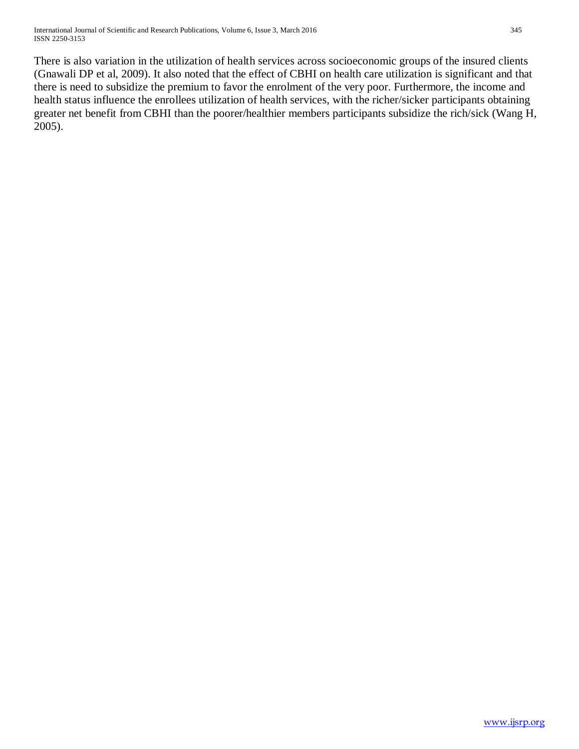There is also variation in the utilization of health services across socioeconomic groups of the insured clients (Gnawali DP et al, 2009). It also noted that the effect of CBHI on health care utilization is significant and that there is need to subsidize the premium to favor the enrolment of the very poor. Furthermore, the income and health status influence the enrollees utilization of health services, with the richer/sicker participants obtaining greater net benefit from CBHI than the poorer/healthier members participants subsidize the rich/sick (Wang H, 2005).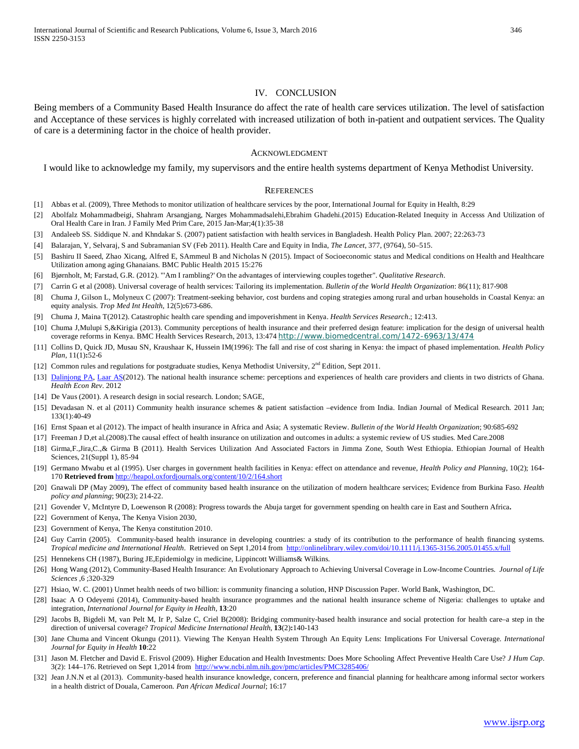#### IV. CONCLUSION

Being members of a Community Based Health Insurance do affect the rate of health care services utilization. The level of satisfaction and Acceptance of these services is highly correlated with increased utilization of both in-patient and outpatient services. The Quality of care is a determining factor in the choice of health provider.

#### ACKNOWLEDGMENT

I would like to acknowledge my family, my supervisors and the entire health systems department of Kenya Methodist University.

#### **REFERENCES**

- [1] Abbas et al. (2009), Three Methods to monitor utilization of healthcare services by the poor, International Journal for Equity in Health, 8:29
- [2] Abolfalz Mohammadbeigi, Shahram Arsangjang, Narges Mohammadsalehi,Ebrahim Ghadehi.(2015) Education-Related Inequity in Accesss And Utilization of Oral Health Care in Iran. J Family Med Prim Care, 2015 Jan-Mar;4(1):35-38
- [3] Andaleeb SS. Siddique N. and Khndakar S. (2007) patient satisfaction with health services in Bangladesh. Health Policy Plan. 2007; 22:263-73
- [4] Balarajan, Y, Selvaraj, S and Subramanian SV (Feb 2011). Health Care and Equity in India, *The Lancet*, 377, (9764), 50–515.
- [5] Bashiru II Saeed, Zhao Xicang, Alfred E, SAmmeul B and Nicholas N (2015). Impact of Socioeconomic status and Medical conditions on Health and Healthcare Utilization among aging Ghanaians. BMC Public Health 2015 15:276
- [6] Bjørnholt, M; Farstad, G.R. (2012). "'Am I rambling?' On the advantages of interviewing couples together". *Qualitative Research*.
- [7] Carrin G et al (2008). Universal coverage of health services: Tailoring its implementation. *Bulletin of the World Health Organization*: 86(11); 817-908
- [8] Chuma J, Gilson L, Molyneux C (2007): Treatment-seeking behavior, cost burdens and coping strategies among rural and urban households in Coastal Kenya: an equity analysis. *Trop Med Int Health*, 12(5)**:**673-686.
- [9] Chuma J, Maina T(2012). Catastrophic health care spending and impoverishment in Kenya. *Health Services Research*.; 12:413.
- [10] Chuma J,Mulupi S,&Kirigia (2013). Community perceptions of health insurance and their preferred design feature: implication for the design of universal health coverage reforms in Kenya. BMC Health Services Research, 2013, 13:474 <http://www.biomedcentral.com/1472-6963/13/474>
- [11] Collins D, Quick JD, Musau SN, Kraushaar K, Hussein IM(1996): The fall and rise of cost sharing in Kenya: the impact of phased implementation. *Health Policy Plan*, 11(1)**:**52-6
- [12] Common rules and regulations for postgraduate studies, Kenya Methodist University, 2<sup>nd</sup> Edition, Sept 2011.
- [13] [Dalinjong PA,](http://www.ncbi.nlm.nih.gov/pubmed?term=Dalinjong%20PA%5BAuthor%5D&cauthor=true&cauthor_uid=22828034) [Laar AS\(2](http://www.ncbi.nlm.nih.gov/pubmed?term=Laar%20AS%5BAuthor%5D&cauthor=true&cauthor_uid=22828034)012). The national health insurance scheme: perceptions and experiences of health care providers and clients in two districts of Ghana. *Health Econ Rev*. 2012
- [14] De Vaus (2001). A research design in social research. London; SAGE,
- [15] Devadasan N. et al (2011) Community health insurance schemes & patient satisfaction -evidence from India. Indian Journal of Medical Research. 2011 Jan; 133(1):40-49
- [16] Ernst Spaan et al (2012). The impact of health insurance in Africa and Asia; A systematic Review. *Bulletin of the World Health Organization*; 90:685-692
- [17] Freeman J D,et al.(2008).The causal effect of health insurance on utilization and outcomes in adults: a systemic review of US studies. Med Care.2008
- [18] Girma,F.,Jira,C.,& Girma B (2011). Health Services Utilization And Associated Factors in Jimma Zone, South West Ethiopia. Ethiopian Journal of Health Sciences, 21(Suppl 1), 85-94
- [19] Germano Mwabu et al (1995). User charges in government health facilities in Kenya: effect on attendance and revenue, *Health Policy and Planning*, 10(2); 164- 170 **Retrieved from** <http://heapol.oxfordjournals.org/content/10/2/164.short>
- [20] Gnawali DP (May 2009), The effect of community based health insurance on the utilization of modern healthcare services; Evidence from Burkina Faso. *Health policy and planning*; 90(23); 214-22.
- [21] Govender V, McIntyre D, Loewenson R (2008): Progress towards the Abuja target for government spending on health care in East and Southern Africa**.**
- [22] Government of Kenya, The Kenya Vision 2030,
- [23] Government of Kenya, The Kenya constitution 2010.
- [24] Guy Carrin (2005). Community-based health insurance in developing countries: a study of its contribution to the performance of health financing systems. *Tropical medicine and International Health*. Retrieved on Sept 1,2014 from<http://onlinelibrary.wiley.com/doi/10.1111/j.1365-3156.2005.01455.x/full>
- [25] Hennekens CH (1987), Buring JE,Epidemiolgy in medicine, Lippincott Williams& Wilkins.
- [26] Hong Wang (2012), Community-Based Health Insurance: An Evolutionary Approach to Achieving Universal Coverage in Low-Income Countries. *Journal of Life Sciences* ,6 ;320-329
- [27] Hsiao, W. C. (2001) Unmet health needs of two billion: is community financing a solution, HNP Discussion Paper. World Bank, Washington, DC.
- [28] Isaac A O Odeyemi (2014), Community-based health insurance programmes and the national health insurance scheme of Nigeria: challenges to uptake and integration, *International Journal for Equity in Health*, **13**:20
- [29] Jacobs B, Bigdeli M, van Pelt M, Ir P, Salze C, Criel B(2008): Bridging community-based health insurance and social protection for health care-a step in the direction of universal coverage? *Tropical Medicine International Health*, **13**(2)**:**140-143
- [30] Jane Chuma and Vincent Okungu (2011). Viewing The Kenyan Health System Through An Equity Lens: Implications For Universal Coverage. *International Journal for Equity in Health* **10**:22
- [31] Jason M. Fletcher and David E. Frisvol (2009). Higher Education and Health Investments: Does More Schooling Affect Preventive Health Care Use? *J Hum Cap*. 3(2): 144–176. Retrieved on Sept 1,2014 from<http://www.ncbi.nlm.nih.gov/pmc/articles/PMC3285406/>
- [32] Jean J.N.N et al (2013). Community-based health insurance knowledge, concern, preference and financial planning for healthcare among informal sector workers in a health district of Douala, Cameroon. *Pan African Medical Journal*; 16:17